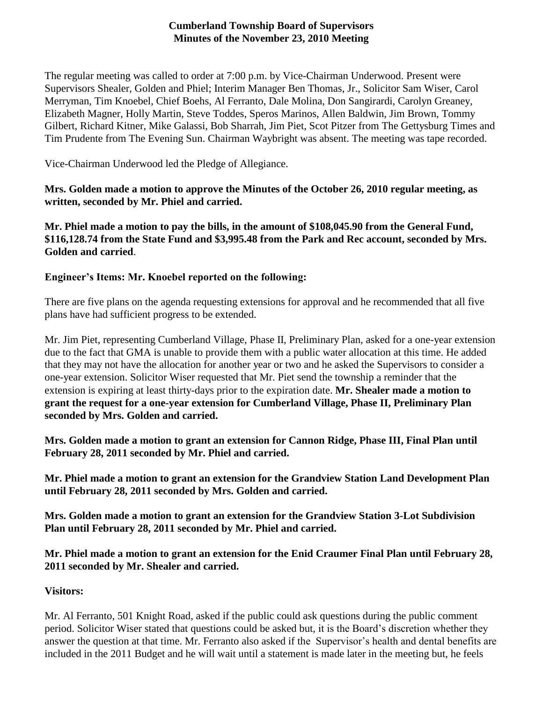## **Cumberland Township Board of Supervisors Minutes of the November 23, 2010 Meeting**

The regular meeting was called to order at 7:00 p.m. by Vice-Chairman Underwood. Present were Supervisors Shealer, Golden and Phiel; Interim Manager Ben Thomas, Jr., Solicitor Sam Wiser, Carol Merryman, Tim Knoebel, Chief Boehs, Al Ferranto, Dale Molina, Don Sangirardi, Carolyn Greaney, Elizabeth Magner, Holly Martin, Steve Toddes, Speros Marinos, Allen Baldwin, Jim Brown, Tommy Gilbert, Richard Kitner, Mike Galassi, Bob Sharrah, Jim Piet, Scot Pitzer from The Gettysburg Times and Tim Prudente from The Evening Sun. Chairman Waybright was absent. The meeting was tape recorded.

Vice-Chairman Underwood led the Pledge of Allegiance.

**Mrs. Golden made a motion to approve the Minutes of the October 26, 2010 regular meeting, as written, seconded by Mr. Phiel and carried.**

**Mr. Phiel made a motion to pay the bills, in the amount of \$108,045.90 from the General Fund, \$116,128.74 from the State Fund and \$3,995.48 from the Park and Rec account, seconded by Mrs. Golden and carried**.

## **Engineer's Items: Mr. Knoebel reported on the following:**

There are five plans on the agenda requesting extensions for approval and he recommended that all five plans have had sufficient progress to be extended.

Mr. Jim Piet, representing Cumberland Village, Phase II, Preliminary Plan, asked for a one-year extension due to the fact that GMA is unable to provide them with a public water allocation at this time. He added that they may not have the allocation for another year or two and he asked the Supervisors to consider a one-year extension. Solicitor Wiser requested that Mr. Piet send the township a reminder that the extension is expiring at least thirty-days prior to the expiration date. **Mr. Shealer made a motion to grant the request for a one-year extension for Cumberland Village, Phase II, Preliminary Plan seconded by Mrs. Golden and carried.**

**Mrs. Golden made a motion to grant an extension for Cannon Ridge, Phase III, Final Plan until February 28, 2011 seconded by Mr. Phiel and carried.**

**Mr. Phiel made a motion to grant an extension for the Grandview Station Land Development Plan until February 28, 2011 seconded by Mrs. Golden and carried.**

**Mrs. Golden made a motion to grant an extension for the Grandview Station 3-Lot Subdivision Plan until February 28, 2011 seconded by Mr. Phiel and carried.**

**Mr. Phiel made a motion to grant an extension for the Enid Craumer Final Plan until February 28, 2011 seconded by Mr. Shealer and carried.**

## **Visitors:**

Mr. Al Ferranto, 501 Knight Road, asked if the public could ask questions during the public comment period. Solicitor Wiser stated that questions could be asked but, it is the Board's discretion whether they answer the question at that time. Mr. Ferranto also asked if the Supervisor's health and dental benefits are included in the 2011 Budget and he will wait until a statement is made later in the meeting but, he feels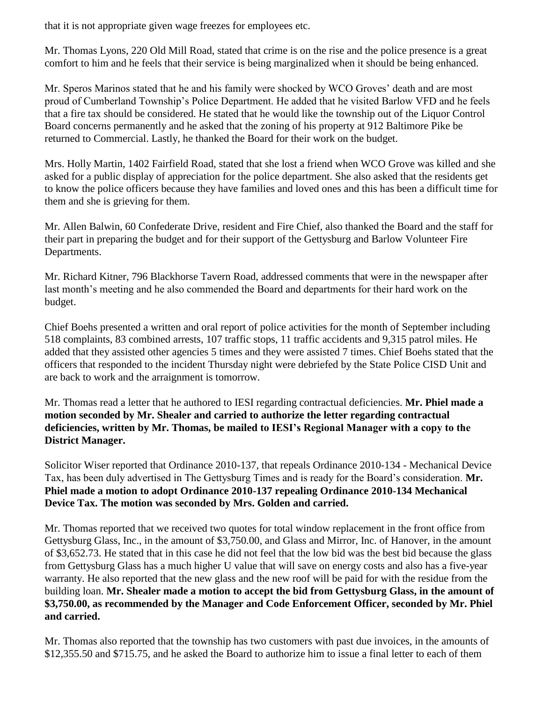that it is not appropriate given wage freezes for employees etc.

Mr. Thomas Lyons, 220 Old Mill Road, stated that crime is on the rise and the police presence is a great comfort to him and he feels that their service is being marginalized when it should be being enhanced.

Mr. Speros Marinos stated that he and his family were shocked by WCO Groves' death and are most proud of Cumberland Township's Police Department. He added that he visited Barlow VFD and he feels that a fire tax should be considered. He stated that he would like the township out of the Liquor Control Board concerns permanently and he asked that the zoning of his property at 912 Baltimore Pike be returned to Commercial. Lastly, he thanked the Board for their work on the budget.

Mrs. Holly Martin, 1402 Fairfield Road, stated that she lost a friend when WCO Grove was killed and she asked for a public display of appreciation for the police department. She also asked that the residents get to know the police officers because they have families and loved ones and this has been a difficult time for them and she is grieving for them.

Mr. Allen Balwin, 60 Confederate Drive, resident and Fire Chief, also thanked the Board and the staff for their part in preparing the budget and for their support of the Gettysburg and Barlow Volunteer Fire Departments.

Mr. Richard Kitner, 796 Blackhorse Tavern Road, addressed comments that were in the newspaper after last month's meeting and he also commended the Board and departments for their hard work on the budget.

Chief Boehs presented a written and oral report of police activities for the month of September including 518 complaints, 83 combined arrests, 107 traffic stops, 11 traffic accidents and 9,315 patrol miles. He added that they assisted other agencies 5 times and they were assisted 7 times. Chief Boehs stated that the officers that responded to the incident Thursday night were debriefed by the State Police CISD Unit and are back to work and the arraignment is tomorrow.

Mr. Thomas read a letter that he authored to IESI regarding contractual deficiencies. **Mr. Phiel made a motion seconded by Mr. Shealer and carried to authorize the letter regarding contractual deficiencies, written by Mr. Thomas, be mailed to IESI's Regional Manager with a copy to the District Manager.**

Solicitor Wiser reported that Ordinance 2010-137, that repeals Ordinance 2010-134 - Mechanical Device Tax, has been duly advertised in The Gettysburg Times and is ready for the Board's consideration. **Mr. Phiel made a motion to adopt Ordinance 2010-137 repealing Ordinance 2010-134 Mechanical Device Tax. The motion was seconded by Mrs. Golden and carried.**

Mr. Thomas reported that we received two quotes for total window replacement in the front office from Gettysburg Glass, Inc., in the amount of \$3,750.00, and Glass and Mirror, Inc. of Hanover, in the amount of \$3,652.73. He stated that in this case he did not feel that the low bid was the best bid because the glass from Gettysburg Glass has a much higher U value that will save on energy costs and also has a five-year warranty. He also reported that the new glass and the new roof will be paid for with the residue from the building loan. **Mr. Shealer made a motion to accept the bid from Gettysburg Glass, in the amount of \$3,750.00, as recommended by the Manager and Code Enforcement Officer, seconded by Mr. Phiel and carried.**

Mr. Thomas also reported that the township has two customers with past due invoices, in the amounts of \$12,355.50 and \$715.75, and he asked the Board to authorize him to issue a final letter to each of them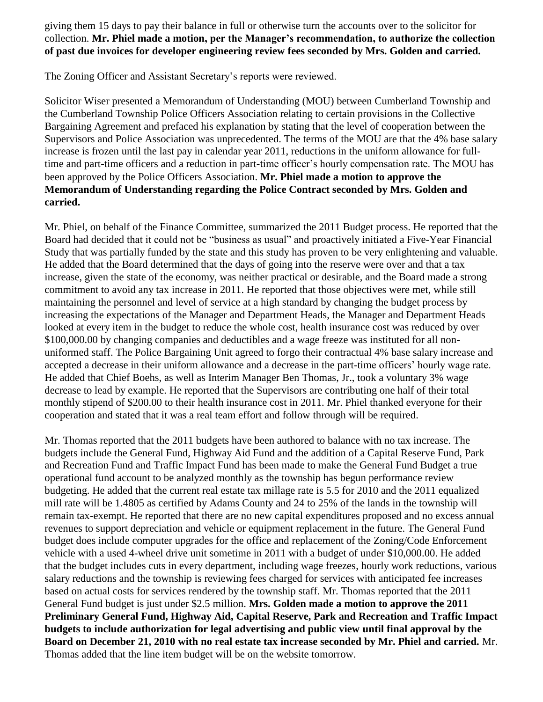giving them 15 days to pay their balance in full or otherwise turn the accounts over to the solicitor for collection. **Mr. Phiel made a motion, per the Manager's recommendation, to authorize the collection of past due invoices for developer engineering review fees seconded by Mrs. Golden and carried.**

The Zoning Officer and Assistant Secretary's reports were reviewed.

Solicitor Wiser presented a Memorandum of Understanding (MOU) between Cumberland Township and the Cumberland Township Police Officers Association relating to certain provisions in the Collective Bargaining Agreement and prefaced his explanation by stating that the level of cooperation between the Supervisors and Police Association was unprecedented. The terms of the MOU are that the 4% base salary increase is frozen until the last pay in calendar year 2011, reductions in the uniform allowance for fulltime and part-time officers and a reduction in part-time officer's hourly compensation rate. The MOU has been approved by the Police Officers Association. **Mr. Phiel made a motion to approve the Memorandum of Understanding regarding the Police Contract seconded by Mrs. Golden and carried.**

Mr. Phiel, on behalf of the Finance Committee, summarized the 2011 Budget process. He reported that the Board had decided that it could not be "business as usual" and proactively initiated a Five-Year Financial Study that was partially funded by the state and this study has proven to be very enlightening and valuable. He added that the Board determined that the days of going into the reserve were over and that a tax increase, given the state of the economy, was neither practical or desirable, and the Board made a strong commitment to avoid any tax increase in 2011. He reported that those objectives were met, while still maintaining the personnel and level of service at a high standard by changing the budget process by increasing the expectations of the Manager and Department Heads, the Manager and Department Heads looked at every item in the budget to reduce the whole cost, health insurance cost was reduced by over \$100,000.00 by changing companies and deductibles and a wage freeze was instituted for all nonuniformed staff. The Police Bargaining Unit agreed to forgo their contractual 4% base salary increase and accepted a decrease in their uniform allowance and a decrease in the part-time officers' hourly wage rate. He added that Chief Boehs, as well as Interim Manager Ben Thomas, Jr., took a voluntary 3% wage decrease to lead by example. He reported that the Supervisors are contributing one half of their total monthly stipend of \$200.00 to their health insurance cost in 2011. Mr. Phiel thanked everyone for their cooperation and stated that it was a real team effort and follow through will be required.

Mr. Thomas reported that the 2011 budgets have been authored to balance with no tax increase. The budgets include the General Fund, Highway Aid Fund and the addition of a Capital Reserve Fund, Park and Recreation Fund and Traffic Impact Fund has been made to make the General Fund Budget a true operational fund account to be analyzed monthly as the township has begun performance review budgeting. He added that the current real estate tax millage rate is 5.5 for 2010 and the 2011 equalized mill rate will be 1.4805 as certified by Adams County and 24 to 25% of the lands in the township will remain tax-exempt. He reported that there are no new capital expenditures proposed and no excess annual revenues to support depreciation and vehicle or equipment replacement in the future. The General Fund budget does include computer upgrades for the office and replacement of the Zoning/Code Enforcement vehicle with a used 4-wheel drive unit sometime in 2011 with a budget of under \$10,000.00. He added that the budget includes cuts in every department, including wage freezes, hourly work reductions, various salary reductions and the township is reviewing fees charged for services with anticipated fee increases based on actual costs for services rendered by the township staff. Mr. Thomas reported that the 2011 General Fund budget is just under \$2.5 million. **Mrs. Golden made a motion to approve the 2011 Preliminary General Fund, Highway Aid, Capital Reserve, Park and Recreation and Traffic Impact budgets to include authorization for legal advertising and public view until final approval by the Board on December 21, 2010 with no real estate tax increase seconded by Mr. Phiel and carried.** Mr. Thomas added that the line item budget will be on the website tomorrow.